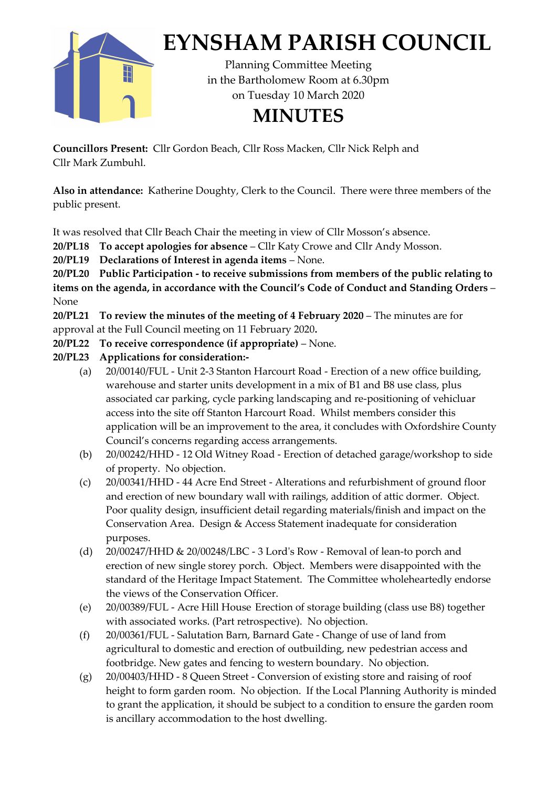

## **EYNSHAM PARISH COUNCIL**

Planning Committee Meeting in the Bartholomew Room at 6.30pm on Tuesday 10 March 2020

## **MINUTES**

**Councillors Present:** Cllr Gordon Beach, Cllr Ross Macken, Cllr Nick Relph and Cllr Mark Zumbuhl.

**Also in attendance:** Katherine Doughty, Clerk to the Council. There were three members of the public present.

It was resolved that Cllr Beach Chair the meeting in view of Cllr Mosson's absence.

**20/PL18 To accept apologies for absence** – Cllr Katy Crowe and Cllr Andy Mosson.

**20/PL19 Declarations of Interest in agenda items** – None.

**20/PL20 Public Participation - to receive submissions from members of the public relating to items on the agenda, in accordance with the Council's Code of Conduct and Standing Orders** – None

**20/PL21 To review the minutes of the meeting of 4 February 2020** – The minutes are for approval at the Full Council meeting on 11 February 2020**.**

**20/PL22 To receive correspondence (if appropriate)** – None.

- **20/PL23 Applications for consideration:-**
	- (a) 20/00140/FUL Unit 2-3 Stanton Harcourt Road Erection of a new office building, warehouse and starter units development in a mix of B1 and B8 use class, plus associated car parking, cycle parking landscaping and re-positioning of vehicluar access into the site off Stanton Harcourt Road. Whilst members consider this application will be an improvement to the area, it concludes with Oxfordshire County Council's concerns regarding access arrangements.
	- (b) 20/00242/HHD 12 Old Witney Road Erection of detached garage/workshop to side of property. No objection.
	- (c) 20/00341/HHD 44 Acre End Street Alterations and refurbishment of ground floor and erection of new boundary wall with railings, addition of attic dormer. Object. Poor quality design, insufficient detail regarding materials/finish and impact on the Conservation Area. Design & Access Statement inadequate for consideration purposes.
	- (d) 20/00247/HHD & 20/00248/LBC 3 Lord's Row Removal of lean-to porch and erection of new single storey porch. Object. Members were disappointed with the standard of the Heritage Impact Statement. The Committee wholeheartedly endorse the views of the Conservation Officer.
	- (e) 20/00389/FUL Acre Hill House Erection of storage building (class use B8) together with associated works. (Part retrospective). No objection.
	- (f) 20/00361/FUL Salutation Barn, Barnard Gate Change of use of land from agricultural to domestic and erection of outbuilding, new pedestrian access and footbridge. New gates and fencing to western boundary. No objection.
	- (g) 20/00403/HHD 8 Queen Street Conversion of existing store and raising of roof height to form garden room. No objection. If the Local Planning Authority is minded to grant the application, it should be subject to a condition to ensure the garden room is ancillary accommodation to the host dwelling.